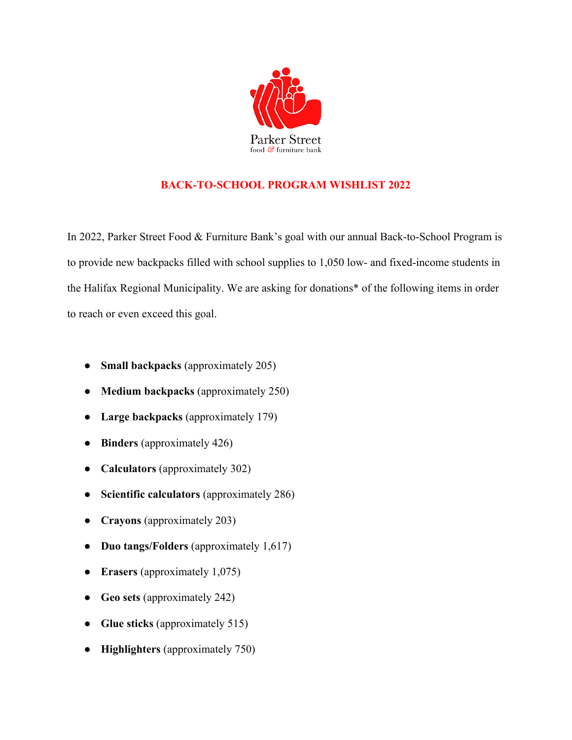

## **BACK-TO-SCHOOL PROGRAM WISHLIST 2022**

In 2022, Parker Street Food & Furniture Bank's goal with our annual Back-to-School Program is to provide new backpacks filled with school supplies to 1,050 low- and fixed-income students in the Halifax Regional Municipality. We are asking for donations\* of the following items in order to reach or even exceed this goal.

- **Small backpacks** (approximately 205)
- **Medium backpacks** (approximately 250)
- **Large backpacks** (approximately 179)
- **Binders** (approximately 426)
- **Calculators** (approximately 302)
- **Scientific calculators** (approximately 286)
- **Crayons** (approximately 203)
- **Duo tangs/Folders** (approximately 1,617)
- **Erasers** (approximately 1,075)
- **Geo sets** (approximately 242)
- **Glue sticks** (approximately 515)
- **Highlighters** (approximately 750)